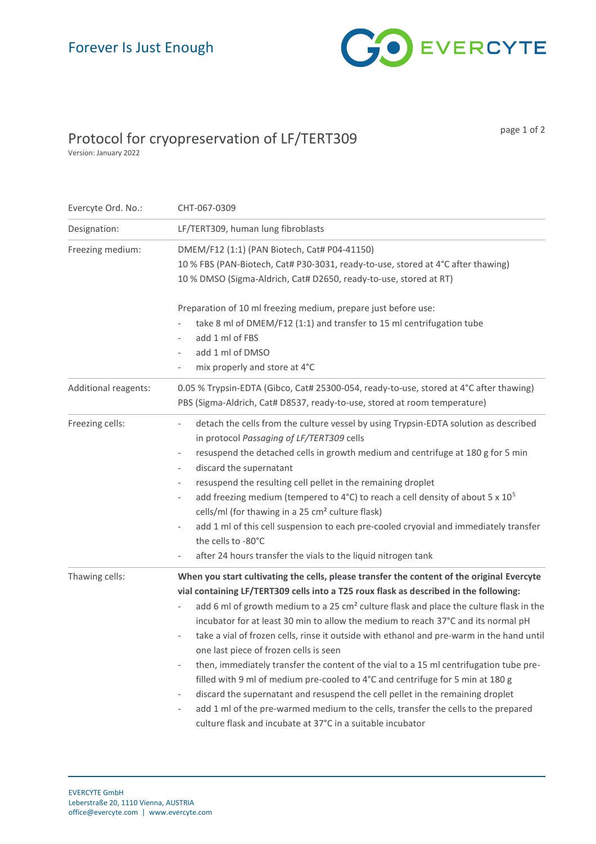

## Protocol for cryopreservation of LF/TERT309

page 1 of 2

Version: January 2022

| Evercyte Ord. No.:   | CHT-067-0309                                                                                                                                                                                                                                                                                                                                                                                                                                                                                                                                                                                                                                                                                                                                                                                                                                                                                                                                                        |
|----------------------|---------------------------------------------------------------------------------------------------------------------------------------------------------------------------------------------------------------------------------------------------------------------------------------------------------------------------------------------------------------------------------------------------------------------------------------------------------------------------------------------------------------------------------------------------------------------------------------------------------------------------------------------------------------------------------------------------------------------------------------------------------------------------------------------------------------------------------------------------------------------------------------------------------------------------------------------------------------------|
| Designation:         | LF/TERT309, human lung fibroblasts                                                                                                                                                                                                                                                                                                                                                                                                                                                                                                                                                                                                                                                                                                                                                                                                                                                                                                                                  |
| Freezing medium:     | DMEM/F12 (1:1) (PAN Biotech, Cat# P04-41150)<br>10 % FBS (PAN-Biotech, Cat# P30-3031, ready-to-use, stored at 4°C after thawing)<br>10 % DMSO (Sigma-Aldrich, Cat# D2650, ready-to-use, stored at RT)                                                                                                                                                                                                                                                                                                                                                                                                                                                                                                                                                                                                                                                                                                                                                               |
|                      | Preparation of 10 ml freezing medium, prepare just before use:<br>take 8 ml of DMEM/F12 (1:1) and transfer to 15 ml centrifugation tube<br>add 1 ml of FBS<br>add 1 ml of DMSO<br>mix properly and store at 4°C                                                                                                                                                                                                                                                                                                                                                                                                                                                                                                                                                                                                                                                                                                                                                     |
| Additional reagents: | 0.05 % Trypsin-EDTA (Gibco, Cat# 25300-054, ready-to-use, stored at 4°C after thawing)<br>PBS (Sigma-Aldrich, Cat# D8537, ready-to-use, stored at room temperature)                                                                                                                                                                                                                                                                                                                                                                                                                                                                                                                                                                                                                                                                                                                                                                                                 |
| Freezing cells:      | detach the cells from the culture vessel by using Trypsin-EDTA solution as described<br>in protocol Passaging of LF/TERT309 cells<br>resuspend the detached cells in growth medium and centrifuge at 180 g for 5 min<br>$\overline{\phantom{a}}$<br>discard the supernatant<br>$\overline{\phantom{a}}$<br>resuspend the resulting cell pellet in the remaining droplet<br>$\overline{\phantom{a}}$<br>add freezing medium (tempered to 4°C) to reach a cell density of about 5 x $10^5$<br>$\overline{\phantom{a}}$<br>cells/ml (for thawing in a 25 cm <sup>2</sup> culture flask)<br>add 1 ml of this cell suspension to each pre-cooled cryovial and immediately transfer<br>$\qquad \qquad -$<br>the cells to -80°C<br>after 24 hours transfer the vials to the liquid nitrogen tank                                                                                                                                                                           |
| Thawing cells:       | When you start cultivating the cells, please transfer the content of the original Evercyte<br>vial containing LF/TERT309 cells into a T25 roux flask as described in the following:<br>add 6 ml of growth medium to a 25 cm <sup>2</sup> culture flask and place the culture flask in the<br>incubator for at least 30 min to allow the medium to reach 37°C and its normal pH<br>take a vial of frozen cells, rinse it outside with ethanol and pre-warm in the hand until<br>one last piece of frozen cells is seen<br>then, immediately transfer the content of the vial to a 15 ml centrifugation tube pre-<br>filled with 9 ml of medium pre-cooled to 4°C and centrifuge for 5 min at 180 g<br>discard the supernatant and resuspend the cell pellet in the remaining droplet<br>$\overline{\phantom{a}}$<br>add 1 ml of the pre-warmed medium to the cells, transfer the cells to the prepared<br>culture flask and incubate at 37°C in a suitable incubator |